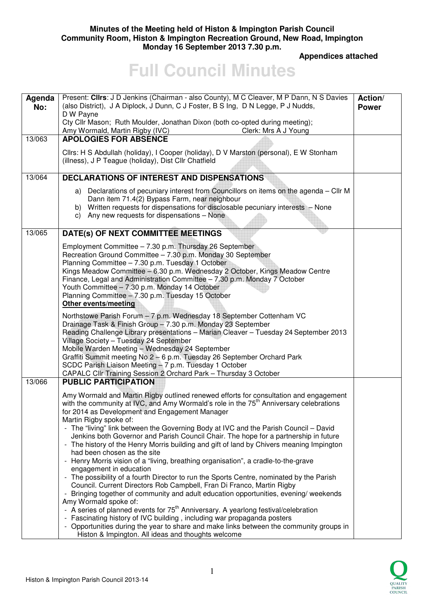## **Minutes of the Meeting held of Histon & Impington Parish Council Community Room, Histon & Impington Recreation Ground, New Road, Impington Monday 16 September 2013 7.30 p.m.**

 **Appendices attached** 

# **Full Council Minutes**

| Agenda<br>No: | Present: Clirs: J D Jenkins (Chairman - also County), M C Cleaver, M P Dann, N S Davies<br>(also District), J A Diplock, J Dunn, C J Foster, B S Ing, D N Legge, P J Nudds,<br>D W Payne<br>Cty Cllr Mason; Ruth Moulder, Jonathan Dixon (both co-opted during meeting);<br>Amy Wormald, Martin Rigby (IVC)<br>Clerk: Mrs A J Young                                                                                                                                                                                                                                                                                                                                                                                                                                                                                                                                                                                                                                                                                                                                                                                                                                                                                                                                                                                      | Action/<br><b>Power</b> |
|---------------|--------------------------------------------------------------------------------------------------------------------------------------------------------------------------------------------------------------------------------------------------------------------------------------------------------------------------------------------------------------------------------------------------------------------------------------------------------------------------------------------------------------------------------------------------------------------------------------------------------------------------------------------------------------------------------------------------------------------------------------------------------------------------------------------------------------------------------------------------------------------------------------------------------------------------------------------------------------------------------------------------------------------------------------------------------------------------------------------------------------------------------------------------------------------------------------------------------------------------------------------------------------------------------------------------------------------------|-------------------------|
| 13/063        | <b>APOLOGIES FOR ABSENCE</b>                                                                                                                                                                                                                                                                                                                                                                                                                                                                                                                                                                                                                                                                                                                                                                                                                                                                                                                                                                                                                                                                                                                                                                                                                                                                                             |                         |
|               | Cllrs: H S Abdullah (holiday), I Cooper (holiday), D V Marston (personal), E W Stonham<br>(illness), J P Teague (holiday), Dist Cllr Chatfield                                                                                                                                                                                                                                                                                                                                                                                                                                                                                                                                                                                                                                                                                                                                                                                                                                                                                                                                                                                                                                                                                                                                                                           |                         |
| 13/064        | <b>DECLARATIONS OF INTEREST AND DISPENSATIONS</b>                                                                                                                                                                                                                                                                                                                                                                                                                                                                                                                                                                                                                                                                                                                                                                                                                                                                                                                                                                                                                                                                                                                                                                                                                                                                        |                         |
|               | a) Declarations of pecuniary interest from Councillors on items on the agenda - Cllr M<br>Dann item 71.4(2) Bypass Farm, near neighbour<br>b) Written requests for dispensations for disclosable pecuniary interests - None<br>c) Any new requests for dispensations - None                                                                                                                                                                                                                                                                                                                                                                                                                                                                                                                                                                                                                                                                                                                                                                                                                                                                                                                                                                                                                                              |                         |
| 13/065        | DATE(s) OF NEXT COMMITTEE MEETINGS                                                                                                                                                                                                                                                                                                                                                                                                                                                                                                                                                                                                                                                                                                                                                                                                                                                                                                                                                                                                                                                                                                                                                                                                                                                                                       |                         |
|               | Employment Committee - 7.30 p.m. Thursday 26 September<br>Recreation Ground Committee - 7.30 p.m. Monday 30 September<br>Planning Committee - 7.30 p.m. Tuesday 1 October<br>Kings Meadow Committee - 6.30 p.m. Wednesday 2 October, Kings Meadow Centre<br>Finance, Legal and Administration Committee - 7.30 p.m. Monday 7 October<br>Youth Committee - 7.30 p.m. Monday 14 October<br>Planning Committee - 7.30 p.m. Tuesday 15 October<br>Other events/meeting                                                                                                                                                                                                                                                                                                                                                                                                                                                                                                                                                                                                                                                                                                                                                                                                                                                       |                         |
|               | Northstowe Parish Forum - 7 p.m. Wednesday 18 September Cottenham VC<br>Drainage Task & Finish Group - 7.30 p.m. Monday 23 September<br>Reading Challenge Library presentations - Marian Cleaver - Tuesday 24 September 2013<br>Village Society - Tuesday 24 September<br>Mobile Warden Meeting - Wednesday 24 September<br>Graffiti Summit meeting No 2 - 6 p.m. Tuesday 26 September Orchard Park<br>SCDC Parish Liaison Meeting - 7 p.m. Tuesday 1 October<br>CAPALC Cllr Training Session 2 Orchard Park - Thursday 3 October                                                                                                                                                                                                                                                                                                                                                                                                                                                                                                                                                                                                                                                                                                                                                                                        |                         |
| 13/066        | <b>PUBLIC PARTICIPATION</b>                                                                                                                                                                                                                                                                                                                                                                                                                                                                                                                                                                                                                                                                                                                                                                                                                                                                                                                                                                                                                                                                                                                                                                                                                                                                                              |                         |
|               | Amy Wormald and Martin Rigby outlined renewed efforts for consultation and engagement<br>with the community at IVC, and Amy Wormald's role in the 75 <sup>th</sup> Anniversary celebrations<br>for 2014 as Development and Engagement Manager<br>Martin Rigby spoke of:<br>- The "living" link between the Governing Body at IVC and the Parish Council - David<br>Jenkins both Governor and Parish Council Chair. The hope for a partnership in future<br>- The history of the Henry Morris building and gift of land by Chivers meaning Impington<br>had been chosen as the site<br>- Henry Morris vision of a "living, breathing organisation", a cradle-to-the-grave<br>engagement in education<br>- The possibility of a fourth Director to run the Sports Centre, nominated by the Parish<br>Council. Current Directors Rob Campbell, Fran Di Franco, Martin Rigby<br>- Bringing together of community and adult education opportunities, evening/ weekends<br>Amy Wormald spoke of:<br>- A series of planned events for 75 <sup>th</sup> Anniversary. A yearlong festival/celebration<br>- Fascinating history of IVC building, including war propaganda posters<br>- Opportunities during the year to share and make links between the community groups in<br>Histon & Impington. All ideas and thoughts welcome |                         |

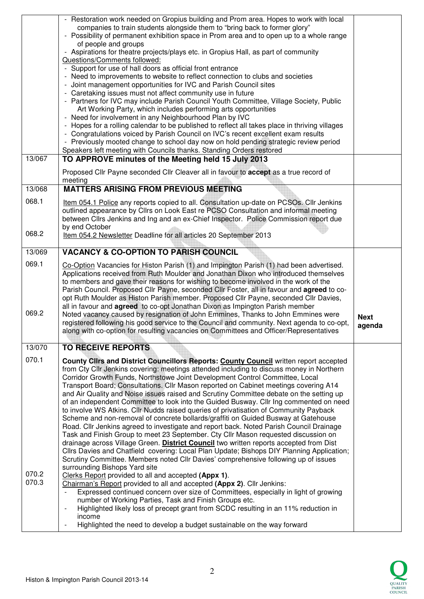| - Restoration work needed on Gropius building and Prom area. Hopes to work with local<br>companies to train students alongside them to "bring back to former glory"<br>- Possibility of permanent exhibition space in Prom area and to open up to a whole range |                                                                                                                                                                                                                                                                                                                                                                                                                                                                                                                                                                                                                                                                                                                                                                                                                                                                                                                                                                                                                                                                                                                                        |
|-----------------------------------------------------------------------------------------------------------------------------------------------------------------------------------------------------------------------------------------------------------------|----------------------------------------------------------------------------------------------------------------------------------------------------------------------------------------------------------------------------------------------------------------------------------------------------------------------------------------------------------------------------------------------------------------------------------------------------------------------------------------------------------------------------------------------------------------------------------------------------------------------------------------------------------------------------------------------------------------------------------------------------------------------------------------------------------------------------------------------------------------------------------------------------------------------------------------------------------------------------------------------------------------------------------------------------------------------------------------------------------------------------------------|
|                                                                                                                                                                                                                                                                 |                                                                                                                                                                                                                                                                                                                                                                                                                                                                                                                                                                                                                                                                                                                                                                                                                                                                                                                                                                                                                                                                                                                                        |
| of people and groups<br>- Aspirations for theatre projects/plays etc. in Gropius Hall, as part of community<br>Questions/Comments followed:                                                                                                                     |                                                                                                                                                                                                                                                                                                                                                                                                                                                                                                                                                                                                                                                                                                                                                                                                                                                                                                                                                                                                                                                                                                                                        |
| - Support for use of hall doors as official front entrance                                                                                                                                                                                                      |                                                                                                                                                                                                                                                                                                                                                                                                                                                                                                                                                                                                                                                                                                                                                                                                                                                                                                                                                                                                                                                                                                                                        |
| - Need to improvements to website to reflect connection to clubs and societies                                                                                                                                                                                  |                                                                                                                                                                                                                                                                                                                                                                                                                                                                                                                                                                                                                                                                                                                                                                                                                                                                                                                                                                                                                                                                                                                                        |
|                                                                                                                                                                                                                                                                 |                                                                                                                                                                                                                                                                                                                                                                                                                                                                                                                                                                                                                                                                                                                                                                                                                                                                                                                                                                                                                                                                                                                                        |
| - Partners for IVC may include Parish Council Youth Committee, Village Society, Public                                                                                                                                                                          |                                                                                                                                                                                                                                                                                                                                                                                                                                                                                                                                                                                                                                                                                                                                                                                                                                                                                                                                                                                                                                                                                                                                        |
|                                                                                                                                                                                                                                                                 |                                                                                                                                                                                                                                                                                                                                                                                                                                                                                                                                                                                                                                                                                                                                                                                                                                                                                                                                                                                                                                                                                                                                        |
| - Hopes for a rolling calendar to be published to reflect all takes place in thriving villages                                                                                                                                                                  |                                                                                                                                                                                                                                                                                                                                                                                                                                                                                                                                                                                                                                                                                                                                                                                                                                                                                                                                                                                                                                                                                                                                        |
|                                                                                                                                                                                                                                                                 |                                                                                                                                                                                                                                                                                                                                                                                                                                                                                                                                                                                                                                                                                                                                                                                                                                                                                                                                                                                                                                                                                                                                        |
|                                                                                                                                                                                                                                                                 |                                                                                                                                                                                                                                                                                                                                                                                                                                                                                                                                                                                                                                                                                                                                                                                                                                                                                                                                                                                                                                                                                                                                        |
| TO APPROVE minutes of the Meeting held 15 July 2013                                                                                                                                                                                                             |                                                                                                                                                                                                                                                                                                                                                                                                                                                                                                                                                                                                                                                                                                                                                                                                                                                                                                                                                                                                                                                                                                                                        |
| Proposed Cllr Payne seconded Cllr Cleaver all in favour to accept as a true record of<br>meeting                                                                                                                                                                |                                                                                                                                                                                                                                                                                                                                                                                                                                                                                                                                                                                                                                                                                                                                                                                                                                                                                                                                                                                                                                                                                                                                        |
| <b>MATTERS ARISING FROM PREVIOUS MEETING</b>                                                                                                                                                                                                                    |                                                                                                                                                                                                                                                                                                                                                                                                                                                                                                                                                                                                                                                                                                                                                                                                                                                                                                                                                                                                                                                                                                                                        |
| Item 054.1 Police any reports copied to all. Consultation up-date on PCSOs. Cllr Jenkins                                                                                                                                                                        |                                                                                                                                                                                                                                                                                                                                                                                                                                                                                                                                                                                                                                                                                                                                                                                                                                                                                                                                                                                                                                                                                                                                        |
|                                                                                                                                                                                                                                                                 |                                                                                                                                                                                                                                                                                                                                                                                                                                                                                                                                                                                                                                                                                                                                                                                                                                                                                                                                                                                                                                                                                                                                        |
| by end October                                                                                                                                                                                                                                                  |                                                                                                                                                                                                                                                                                                                                                                                                                                                                                                                                                                                                                                                                                                                                                                                                                                                                                                                                                                                                                                                                                                                                        |
|                                                                                                                                                                                                                                                                 |                                                                                                                                                                                                                                                                                                                                                                                                                                                                                                                                                                                                                                                                                                                                                                                                                                                                                                                                                                                                                                                                                                                                        |
| <b>VACANCY &amp; CO-OPTION TO PARISH COUNCIL</b>                                                                                                                                                                                                                |                                                                                                                                                                                                                                                                                                                                                                                                                                                                                                                                                                                                                                                                                                                                                                                                                                                                                                                                                                                                                                                                                                                                        |
| Co-Option Vacancies for Histon Parish (1) and Impington Parish (1) had been advertised.                                                                                                                                                                         |                                                                                                                                                                                                                                                                                                                                                                                                                                                                                                                                                                                                                                                                                                                                                                                                                                                                                                                                                                                                                                                                                                                                        |
|                                                                                                                                                                                                                                                                 |                                                                                                                                                                                                                                                                                                                                                                                                                                                                                                                                                                                                                                                                                                                                                                                                                                                                                                                                                                                                                                                                                                                                        |
| Parish Council. Proposed Cllr Payne, seconded Cllr Foster, all in favour and agreed to co-                                                                                                                                                                      |                                                                                                                                                                                                                                                                                                                                                                                                                                                                                                                                                                                                                                                                                                                                                                                                                                                                                                                                                                                                                                                                                                                                        |
|                                                                                                                                                                                                                                                                 |                                                                                                                                                                                                                                                                                                                                                                                                                                                                                                                                                                                                                                                                                                                                                                                                                                                                                                                                                                                                                                                                                                                                        |
| Noted vacancy caused by resignation of John Emmines, Thanks to John Emmines were                                                                                                                                                                                | <b>Next</b>                                                                                                                                                                                                                                                                                                                                                                                                                                                                                                                                                                                                                                                                                                                                                                                                                                                                                                                                                                                                                                                                                                                            |
| registered following his good service to the Council and community. Next agenda to co-opt,                                                                                                                                                                      |                                                                                                                                                                                                                                                                                                                                                                                                                                                                                                                                                                                                                                                                                                                                                                                                                                                                                                                                                                                                                                                                                                                                        |
|                                                                                                                                                                                                                                                                 | agenda                                                                                                                                                                                                                                                                                                                                                                                                                                                                                                                                                                                                                                                                                                                                                                                                                                                                                                                                                                                                                                                                                                                                 |
| along with co-option for resulting vacancies on Committees and Officer/Representatives                                                                                                                                                                          |                                                                                                                                                                                                                                                                                                                                                                                                                                                                                                                                                                                                                                                                                                                                                                                                                                                                                                                                                                                                                                                                                                                                        |
| <b>TO RECEIVE REPORTS</b>                                                                                                                                                                                                                                       |                                                                                                                                                                                                                                                                                                                                                                                                                                                                                                                                                                                                                                                                                                                                                                                                                                                                                                                                                                                                                                                                                                                                        |
| County Clirs and District Councillors Reports: County Council written report accepted                                                                                                                                                                           |                                                                                                                                                                                                                                                                                                                                                                                                                                                                                                                                                                                                                                                                                                                                                                                                                                                                                                                                                                                                                                                                                                                                        |
| from Cty Cllr Jenkins covering: meetings attended including to discuss money in Northern                                                                                                                                                                        |                                                                                                                                                                                                                                                                                                                                                                                                                                                                                                                                                                                                                                                                                                                                                                                                                                                                                                                                                                                                                                                                                                                                        |
| Corridor Growth Funds, Northstowe Joint Development Control Committee, Local<br>Transport Board; Consultations. Cllr Mason reported on Cabinet meetings covering A14                                                                                            |                                                                                                                                                                                                                                                                                                                                                                                                                                                                                                                                                                                                                                                                                                                                                                                                                                                                                                                                                                                                                                                                                                                                        |
| and Air Quality and Noise issues raised and Scrutiny Committee debate on the setting up                                                                                                                                                                         |                                                                                                                                                                                                                                                                                                                                                                                                                                                                                                                                                                                                                                                                                                                                                                                                                                                                                                                                                                                                                                                                                                                                        |
| of an independent Committee to look into the Guided Busway. Cllr Ing commented on need<br>to involve WS Atkins. Cllr Nudds raised queries of privatisation of Community Payback                                                                                 |                                                                                                                                                                                                                                                                                                                                                                                                                                                                                                                                                                                                                                                                                                                                                                                                                                                                                                                                                                                                                                                                                                                                        |
| Scheme and non-removal of concrete bollards/graffiti on Guided Busway at Gatehouse                                                                                                                                                                              |                                                                                                                                                                                                                                                                                                                                                                                                                                                                                                                                                                                                                                                                                                                                                                                                                                                                                                                                                                                                                                                                                                                                        |
| Road. Cllr Jenkins agreed to investigate and report back. Noted Parish Council Drainage                                                                                                                                                                         |                                                                                                                                                                                                                                                                                                                                                                                                                                                                                                                                                                                                                                                                                                                                                                                                                                                                                                                                                                                                                                                                                                                                        |
| Task and Finish Group to meet 23 September. Cty Cllr Mason requested discussion on<br>drainage across Village Green. District Council two written reports accepted from Dist                                                                                    |                                                                                                                                                                                                                                                                                                                                                                                                                                                                                                                                                                                                                                                                                                                                                                                                                                                                                                                                                                                                                                                                                                                                        |
| Cllrs Davies and Chatfield covering: Local Plan Update; Bishops DIY Planning Application;                                                                                                                                                                       |                                                                                                                                                                                                                                                                                                                                                                                                                                                                                                                                                                                                                                                                                                                                                                                                                                                                                                                                                                                                                                                                                                                                        |
| Scrutiny Committee. Members noted Cllr Davies' comprehensive following up of issues<br>surrounding Bishops Yard site                                                                                                                                            |                                                                                                                                                                                                                                                                                                                                                                                                                                                                                                                                                                                                                                                                                                                                                                                                                                                                                                                                                                                                                                                                                                                                        |
| Clerks Report provided to all and accepted (Appx 1).                                                                                                                                                                                                            |                                                                                                                                                                                                                                                                                                                                                                                                                                                                                                                                                                                                                                                                                                                                                                                                                                                                                                                                                                                                                                                                                                                                        |
| Chairman's Report provided to all and accepted (Appx 2). Cllr Jenkins:<br>Expressed continued concern over size of Committees, especially in light of growing                                                                                                   |                                                                                                                                                                                                                                                                                                                                                                                                                                                                                                                                                                                                                                                                                                                                                                                                                                                                                                                                                                                                                                                                                                                                        |
| number of Working Parties, Task and Finish Groups etc.                                                                                                                                                                                                          |                                                                                                                                                                                                                                                                                                                                                                                                                                                                                                                                                                                                                                                                                                                                                                                                                                                                                                                                                                                                                                                                                                                                        |
| Highlighted likely loss of precept grant from SCDC resulting in an 11% reduction in<br>$\overline{\phantom{a}}$<br>income                                                                                                                                       |                                                                                                                                                                                                                                                                                                                                                                                                                                                                                                                                                                                                                                                                                                                                                                                                                                                                                                                                                                                                                                                                                                                                        |
|                                                                                                                                                                                                                                                                 | - Joint management opportunities for IVC and Parish Council sites<br>- Caretaking issues must not affect community use in future<br>Art Working Party, which includes performing arts opportunities<br>- Need for involvement in any Neighbourhood Plan by IVC<br>- Congratulations voiced by Parish Council on IVC's recent excellent exam results<br>- Previously mooted change to school day now on hold pending strategic review period<br>Speakers left meeting with Councils thanks. Standing Orders restored<br>outlined appearance by Cllrs on Look East re PCSO Consultation and informal meeting<br>between Cllrs Jenkins and Ing and an ex-Chief Inspector. Police Commission report due<br>Item 054.2 Newsletter Deadline for all articles 20 September 2013<br>Applications received from Ruth Moulder and Jonathan Dixon who introduced themselves<br>to members and gave their reasons for wishing to become involved in the work of the<br>opt Ruth Moulder as Histon Parish member. Proposed Cllr Payne, seconded Cllr Davies,<br>all in favour and <b>agreed</b> to co-opt Jonathan Dixon as Impington Parish member |

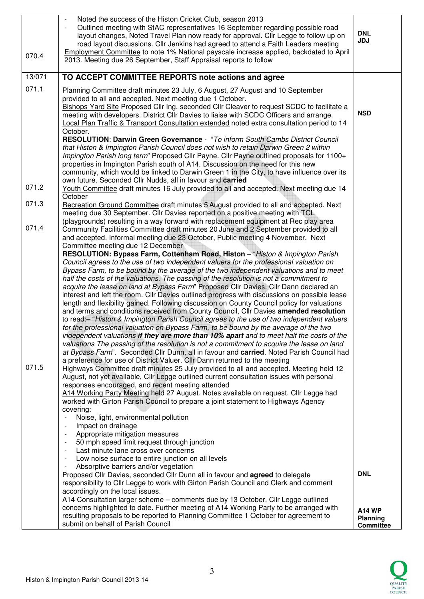| 070.4  | Noted the success of the Histon Cricket Club, season 2013<br>Outlined meeting with StAC representatives 16 September regarding possible road<br>layout changes, Noted Travel Plan now ready for approval. Cllr Legge to follow up on<br>road layout discussions. Cllr Jenkins had agreed to attend a Faith Leaders meeting<br>Employment Committee to note 1% National payscale increase applied, backdated to April<br>2013. Meeting due 26 September, Staff Appraisal reports to follow | <b>DNL</b><br><b>JDJ</b>            |
|--------|-------------------------------------------------------------------------------------------------------------------------------------------------------------------------------------------------------------------------------------------------------------------------------------------------------------------------------------------------------------------------------------------------------------------------------------------------------------------------------------------|-------------------------------------|
| 13/071 | TO ACCEPT COMMITTEE REPORTS note actions and agree                                                                                                                                                                                                                                                                                                                                                                                                                                        |                                     |
| 071.1  | Planning Committee draft minutes 23 July, 6 August, 27 August and 10 September                                                                                                                                                                                                                                                                                                                                                                                                            |                                     |
|        | provided to all and accepted. Next meeting due 1 October.<br>Bishops Yard Site Proposed Cllr Ing, seconded Cllr Cleaver to request SCDC to facilitate a<br>meeting with developers. District Cllr Davies to liaise with SCDC Officers and arrange.<br>Local Plan Traffic & Transport Consultation extended noted extra consultation period to 14<br>October.                                                                                                                              | <b>NSD</b>                          |
|        | RESOLUTION: Darwin Green Governance - "To inform South Cambs District Council<br>that Histon & Impington Parish Council does not wish to retain Darwin Green 2 within<br>Impington Parish long term" Proposed Cllr Payne. Cllr Payne outlined proposals for 1100+<br>properties in Impington Parish south of A14. Discussion on the need for this new                                                                                                                                     |                                     |
|        | community, which would be linked to Darwin Green 1 in the City, to have influence over its                                                                                                                                                                                                                                                                                                                                                                                                |                                     |
| 071.2  | own future. Seconded Cllr Nudds, all in favour and carried<br>Youth Committee draft minutes 16 July provided to all and accepted. Next meeting due 14<br>October                                                                                                                                                                                                                                                                                                                          |                                     |
| 071.3  | Recreation Ground Committee draft minutes 5 August provided to all and accepted. Next<br>meeting due 30 September. Cllr Davies reported on a positive meeting with TCL                                                                                                                                                                                                                                                                                                                    |                                     |
| 071.4  | (playgrounds) resulting in a way forward with replacement equipment at Rec play area                                                                                                                                                                                                                                                                                                                                                                                                      |                                     |
|        | Community Facilities Committee draft minutes 20 June and 2 September provided to all<br>and accepted. Informal meeting due 23 October, Public meeting 4 November. Next<br>Committee meeting due 12 December                                                                                                                                                                                                                                                                               |                                     |
|        | RESOLUTION: Bypass Farm, Cottenham Road, Histon - "Histon & Impington Parish                                                                                                                                                                                                                                                                                                                                                                                                              |                                     |
|        | Council agrees to the use of two independent valuers for the professional valuation on                                                                                                                                                                                                                                                                                                                                                                                                    |                                     |
|        | Bypass Farm, to be bound by the average of the two independent valuations and to meet<br>half the costs of the valuations. The passing of the resolution is not a commitment to                                                                                                                                                                                                                                                                                                           |                                     |
|        | acquire the lease on land at Bypass Farm" Proposed Cllr Davies. Cllr Dann declared an                                                                                                                                                                                                                                                                                                                                                                                                     |                                     |
|        | interest and left the room. Cllr Davies outlined progress with discussions on possible lease                                                                                                                                                                                                                                                                                                                                                                                              |                                     |
|        | length and flexibility gained. Following discussion on County Council policy for valuations<br>and terms and conditions received from County Council, Cllr Davies amended resolution                                                                                                                                                                                                                                                                                                      |                                     |
|        | to read:- "Histon & Impington Parish Council agrees to the use of two independent valuers                                                                                                                                                                                                                                                                                                                                                                                                 |                                     |
|        | for the professional valuation on Bypass Farm, to be bound by the average of the two                                                                                                                                                                                                                                                                                                                                                                                                      |                                     |
|        | independent valuations if they are more than 10% apart and to meet half the costs of the                                                                                                                                                                                                                                                                                                                                                                                                  |                                     |
|        | valuations The passing of the resolution is not a commitment to acquire the lease on land<br>at Bypass Farm". Seconded Cllr Dunn, all in favour and carried. Noted Parish Council had                                                                                                                                                                                                                                                                                                     |                                     |
| 071.5  | a preference for use of District Valuer. Cllr Dann returned to the meeting<br>Highways Committee draft minutes 25 July provided to all and accepted. Meeting held 12                                                                                                                                                                                                                                                                                                                      |                                     |
|        | August, not yet available, Cllr Legge outlined current consultation issues with personal                                                                                                                                                                                                                                                                                                                                                                                                  |                                     |
|        | responses encouraged, and recent meeting attended                                                                                                                                                                                                                                                                                                                                                                                                                                         |                                     |
|        | A14 Working Party Meeting held 27 August. Notes available on request. Cllr Legge had<br>worked with Girton Parish Council to prepare a joint statement to Highways Agency                                                                                                                                                                                                                                                                                                                 |                                     |
|        | covering:                                                                                                                                                                                                                                                                                                                                                                                                                                                                                 |                                     |
|        | Noise, light, environmental pollution                                                                                                                                                                                                                                                                                                                                                                                                                                                     |                                     |
|        | Impact on drainage<br>Appropriate mitigation measures                                                                                                                                                                                                                                                                                                                                                                                                                                     |                                     |
|        | 50 mph speed limit request through junction                                                                                                                                                                                                                                                                                                                                                                                                                                               |                                     |
|        | Last minute lane cross over concerns                                                                                                                                                                                                                                                                                                                                                                                                                                                      |                                     |
|        | Low noise surface to entire junction on all levels                                                                                                                                                                                                                                                                                                                                                                                                                                        |                                     |
|        | Absorptive barriers and/or vegetation<br>Proposed Cllr Davies, seconded Cllr Dunn all in favour and agreed to delegate                                                                                                                                                                                                                                                                                                                                                                    | <b>DNL</b>                          |
|        | responsibility to Cllr Legge to work with Girton Parish Council and Clerk and comment                                                                                                                                                                                                                                                                                                                                                                                                     |                                     |
|        | accordingly on the local issues.                                                                                                                                                                                                                                                                                                                                                                                                                                                          |                                     |
|        | A14 Consultation larger scheme - comments due by 13 October. Cllr Legge outlined                                                                                                                                                                                                                                                                                                                                                                                                          |                                     |
|        | concerns highlighted to date. Further meeting of A14 Working Party to be arranged with<br>resulting proposals to be reported to Planning Committee 1 October for agreement to                                                                                                                                                                                                                                                                                                             | <b>A14 WP</b>                       |
|        | submit on behalf of Parish Council                                                                                                                                                                                                                                                                                                                                                                                                                                                        | <b>Planning</b><br><b>Committee</b> |

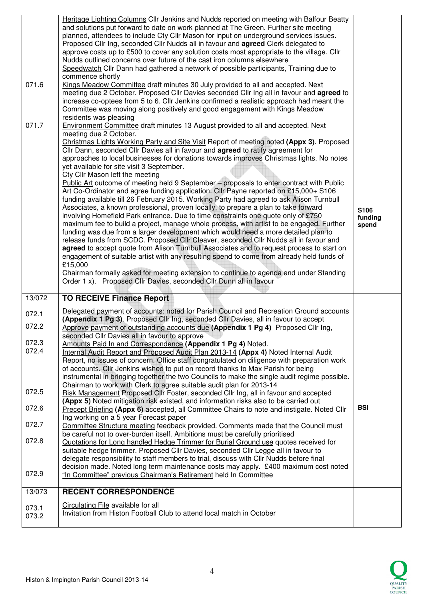| 071.6  | Heritage Lighting Columns Cllr Jenkins and Nudds reported on meeting with Balfour Beatty<br>and solutions put forward to date on work planned at The Green. Further site meeting<br>planned, attendees to include Cty Cllr Mason for input on underground services issues.<br>Proposed Cllr Ing, seconded Cllr Nudds all in favour and <b>agreed</b> Clerk delegated to<br>approve costs up to £500 to cover any solution costs most appropriate to the village. Cllr<br>Nudds outlined concerns over future of the cast iron columns elsewhere<br>Speedwatch Cllr Dann had gathered a network of possible participants, Training due to<br>commence shortly<br>Kings Meadow Committee draft minutes 30 July provided to all and accepted. Next<br>meeting due 2 October. Proposed Cllr Davies seconded Cllr Ing all in favour and agreed to                                                                                                                                                                                                                                                                                                                                                                                                                                                                                                                                                                                                                                                                                                                                       |                          |
|--------|------------------------------------------------------------------------------------------------------------------------------------------------------------------------------------------------------------------------------------------------------------------------------------------------------------------------------------------------------------------------------------------------------------------------------------------------------------------------------------------------------------------------------------------------------------------------------------------------------------------------------------------------------------------------------------------------------------------------------------------------------------------------------------------------------------------------------------------------------------------------------------------------------------------------------------------------------------------------------------------------------------------------------------------------------------------------------------------------------------------------------------------------------------------------------------------------------------------------------------------------------------------------------------------------------------------------------------------------------------------------------------------------------------------------------------------------------------------------------------------------------------------------------------------------------------------------------------|--------------------------|
|        | increase co-optees from 5 to 6. Cllr Jenkins confirmed a realistic approach had meant the<br>Committee was moving along positively and good engagement with Kings Meadow<br>residents was pleasing                                                                                                                                                                                                                                                                                                                                                                                                                                                                                                                                                                                                                                                                                                                                                                                                                                                                                                                                                                                                                                                                                                                                                                                                                                                                                                                                                                                 |                          |
| 071.7  | Environment Committee draft minutes 13 August provided to all and accepted. Next<br>meeting due 2 October.<br>Christmas Lights Working Party and Site Visit Report of meeting noted (Appx 3). Proposed<br>Cllr Dann, seconded Cllr Davies all in favour and agreed to ratify agreement for<br>approaches to local businesses for donations towards improves Christmas lights. No notes<br>yet available for site visit 3 September.<br>Cty Cllr Mason left the meeting<br>Public Art outcome of meeting held 9 September – proposals to enter contract with Public<br>Art Co-Ordinator and agree funding application. Cllr Payne reported on £15,000+ S106<br>funding available till 26 February 2015. Working Party had agreed to ask Alison Turnbull<br>Associates, a known professional, proven locally, to prepare a plan to take forward<br>involving Homefield Park entrance. Due to time constraints one quote only of £750<br>maximum fee to build a project, manage whole process, with artist to be engaged. Further<br>funding was due from a larger development which would need a more detailed plan to<br>release funds from SCDC. Proposed Cllr Cleaver, seconded Cllr Nudds all in favour and<br>agreed to accept quote from Alison Turnbull Associates and to request process to start on<br>engagement of suitable artist with any resulting spend to come from already held funds of<br>£15,000<br>Chairman formally asked for meeting extension to continue to agenda end under Standing<br>Order 1 x). Proposed Cllr Davies, seconded Cllr Dunn all in favour | S106<br>funding<br>spend |
| 13/072 | <b>TO RECEIVE Finance Report</b>                                                                                                                                                                                                                                                                                                                                                                                                                                                                                                                                                                                                                                                                                                                                                                                                                                                                                                                                                                                                                                                                                                                                                                                                                                                                                                                                                                                                                                                                                                                                                   |                          |
|        | Delegated payment of accounts: noted for Parish Council and Recreation Ground accounts                                                                                                                                                                                                                                                                                                                                                                                                                                                                                                                                                                                                                                                                                                                                                                                                                                                                                                                                                                                                                                                                                                                                                                                                                                                                                                                                                                                                                                                                                             |                          |
| 072.1  |                                                                                                                                                                                                                                                                                                                                                                                                                                                                                                                                                                                                                                                                                                                                                                                                                                                                                                                                                                                                                                                                                                                                                                                                                                                                                                                                                                                                                                                                                                                                                                                    |                          |
| 072.2  | (Appendix 1 Pg 3). Proposed Cllr Ing, seconded Cllr Davies, all in favour to accept<br>Approve payment of outstanding accounts due (Appendix 1 Pg 4) Proposed Cllr Ing,                                                                                                                                                                                                                                                                                                                                                                                                                                                                                                                                                                                                                                                                                                                                                                                                                                                                                                                                                                                                                                                                                                                                                                                                                                                                                                                                                                                                            |                          |
| 072.3  | seconded Cllr Davies all in favour to approve                                                                                                                                                                                                                                                                                                                                                                                                                                                                                                                                                                                                                                                                                                                                                                                                                                                                                                                                                                                                                                                                                                                                                                                                                                                                                                                                                                                                                                                                                                                                      |                          |
| 072.4  | Amounts Paid In and Correspondence (Appendix 1 Pg 4) Noted.<br>Internal Audit Report and Proposed Audit Plan 2013-14 (Appx 4) Noted Internal Audit<br>Report, no issues of concern. Office staff congratulated on diligence with preparation work<br>of accounts. Cllr Jenkins wished to put on record thanks to Max Parish for being<br>instrumental in bringing together the two Councils to make the single audit regime possible.                                                                                                                                                                                                                                                                                                                                                                                                                                                                                                                                                                                                                                                                                                                                                                                                                                                                                                                                                                                                                                                                                                                                              |                          |
| 072.5  | Chairman to work with Clerk to agree suitable audit plan for 2013-14<br>Risk Management Proposed Cllr Foster, seconded Cllr Ing, all in favour and accepted                                                                                                                                                                                                                                                                                                                                                                                                                                                                                                                                                                                                                                                                                                                                                                                                                                                                                                                                                                                                                                                                                                                                                                                                                                                                                                                                                                                                                        |                          |
| 072.6  | (Appx 5) Noted mitigation risk existed, and information risks also to be carried out<br>Precept Briefing (Appx 6) accepted, all Committee Chairs to note and instigate. Noted Cllr                                                                                                                                                                                                                                                                                                                                                                                                                                                                                                                                                                                                                                                                                                                                                                                                                                                                                                                                                                                                                                                                                                                                                                                                                                                                                                                                                                                                 | <b>BSI</b>               |
| 072.7  | Ing working on a 5 year Forecast paper<br>Committee Structure meeting feedback provided. Comments made that the Council must                                                                                                                                                                                                                                                                                                                                                                                                                                                                                                                                                                                                                                                                                                                                                                                                                                                                                                                                                                                                                                                                                                                                                                                                                                                                                                                                                                                                                                                       |                          |
| 072.8  | be careful not to over-burden itself. Ambitions must be carefully prioritised<br>Quotations for Long handled Hedge Trimmer for Burial Ground use quotes received for<br>suitable hedge trimmer. Proposed Cllr Davies, seconded Cllr Legge all in favour to<br>delegate responsibility to staff members to trial, discuss with Cllr Nudds before final<br>decision made. Noted long term maintenance costs may apply. £400 maximum cost noted                                                                                                                                                                                                                                                                                                                                                                                                                                                                                                                                                                                                                                                                                                                                                                                                                                                                                                                                                                                                                                                                                                                                       |                          |
| 072.9  | "In Committee" previous Chairman's Retirement held In Committee                                                                                                                                                                                                                                                                                                                                                                                                                                                                                                                                                                                                                                                                                                                                                                                                                                                                                                                                                                                                                                                                                                                                                                                                                                                                                                                                                                                                                                                                                                                    |                          |
| 13/073 | <b>RECENT CORRESPONDENCE</b>                                                                                                                                                                                                                                                                                                                                                                                                                                                                                                                                                                                                                                                                                                                                                                                                                                                                                                                                                                                                                                                                                                                                                                                                                                                                                                                                                                                                                                                                                                                                                       |                          |

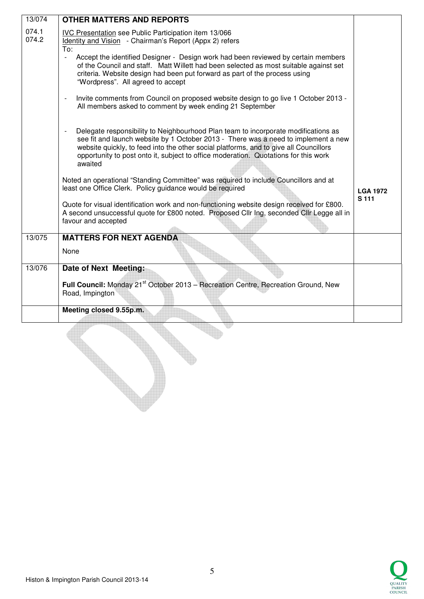| 13/074         | <b>OTHER MATTERS AND REPORTS</b>                                                                                                                                                                                                                                                                                                                                    |                 |
|----------------|---------------------------------------------------------------------------------------------------------------------------------------------------------------------------------------------------------------------------------------------------------------------------------------------------------------------------------------------------------------------|-----------------|
| 074.1<br>074.2 | IVC Presentation see Public Participation item 13/066<br>Identity and Vision - Chairman's Report (Appx 2) refers<br>To:                                                                                                                                                                                                                                             |                 |
|                | Accept the identified Designer - Design work had been reviewed by certain members<br>of the Council and staff. Matt Willett had been selected as most suitable against set<br>criteria. Website design had been put forward as part of the process using<br>"Wordpress". All agreed to accept                                                                       |                 |
|                | Invite comments from Council on proposed website design to go live 1 October 2013 -<br>All members asked to comment by week ending 21 September                                                                                                                                                                                                                     |                 |
|                | Delegate responsibility to Neighbourhood Plan team to incorporate modifications as<br>see fit and launch website by 1 October 2013 - There was a need to implement a new<br>website quickly, to feed into the other social platforms, and to give all Councillors<br>opportunity to post onto it, subject to office moderation. Quotations for this work<br>awaited |                 |
|                | Noted an operational "Standing Committee" was required to include Councillors and at<br>least one Office Clerk. Policy guidance would be required                                                                                                                                                                                                                   | <b>LGA 1972</b> |
|                | Quote for visual identification work and non-functioning website design received for £800.<br>A second unsuccessful quote for £800 noted. Proposed Cllr Ing, seconded Cllr Legge all in<br>favour and accepted                                                                                                                                                      | S 111           |
| 13/075         | <b>MATTERS FOR NEXT AGENDA</b>                                                                                                                                                                                                                                                                                                                                      |                 |
|                | None                                                                                                                                                                                                                                                                                                                                                                |                 |
| 13/076         | Date of Next Meeting:                                                                                                                                                                                                                                                                                                                                               |                 |
|                | Full Council: Monday 21 <sup>st</sup> October 2013 - Recreation Centre, Recreation Ground, New<br>Road, Impington                                                                                                                                                                                                                                                   |                 |
|                | Meeting closed 9.55p.m.                                                                                                                                                                                                                                                                                                                                             |                 |
|                |                                                                                                                                                                                                                                                                                                                                                                     |                 |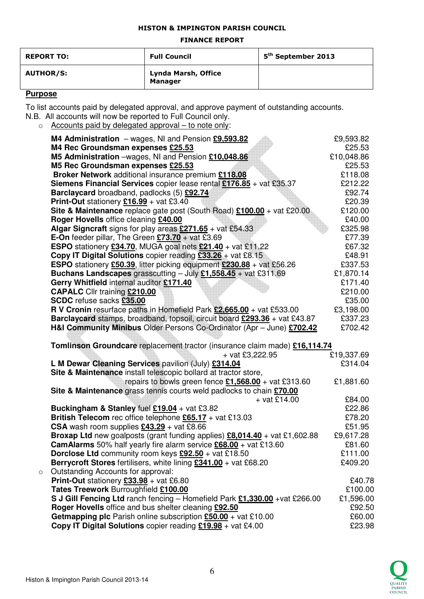### HISTON & IMPINGTON PARISH COUNCIL

#### FINANCE REPORT

| <b>REPORT TO:</b> | <b>Full Council</b>                   | 5 <sup>th</sup> September 2013 |
|-------------------|---------------------------------------|--------------------------------|
| <b>AUTHOR/S:</b>  | Lynda Marsh, Office<br><b>Manager</b> |                                |

## **Purpose**

To list accounts paid by delegated approval, and approve payment of outstanding accounts.

- N.B. All accounts will now be reported to Full Council only.
	- o Accounts paid by delegated approval to note only:

|         | M4 Administration $-$ wages, NI and Pension $£9,593.82$                                                | £9,593.82  |
|---------|--------------------------------------------------------------------------------------------------------|------------|
|         | M4 Rec Groundsman expenses £25.53                                                                      | £25.53     |
|         | M5 Administration -wages, NI and Pension £10,048.86                                                    | £10,048.86 |
|         | M5 Rec Groundsman expenses £25.53                                                                      | £25.53     |
|         | Broker Network additional insurance premium £118.08                                                    | £118.08    |
|         | Siemens Financial Services copier lease rental £176.85 + vat £35.37                                    | £212.22    |
|         | Barclaycard broadband, padlocks (5) £92.74                                                             | £92.74     |
|         | <b>Print-Out</b> stationery $£16.99 +$ vat £3.40                                                       | £20.39     |
|         | Site & Maintenance replace gate post (South Road) $£100.00 +$ vat £20.00                               | £120.00    |
|         | Roger Hovells office cleaning £40.00                                                                   | £40.00     |
|         | Algar Signcraft signs for play areas $£271.65 + \text{vat } £54.33$                                    | £325.98    |
|         | <b>E-On</b> feeder pillar, The Green $£73.70 + \text{vat } £3.69$                                      | £77.39     |
|         | <b>ESPO</b> stationery $£34.70$ , MUGA goal nets $£21.40 + \text{vat } £11.22$                         | £67.32     |
|         | <b>Copy IT Digital Solutions</b> copier reading $£33.26 +$ vat £8.15                                   | £48.91     |
|         | <b>ESPO</b> stationery £50.39, litter picking equipment £230.88 + vat £56.26                           | £337.53    |
|         | Buchans Landscapes grasscutting $-$ July £1,558.45 + vat £311.69                                       | £1,870.14  |
|         | Gerry Whitfield internal auditor £171.40                                                               | £171.40    |
|         | <b>CAPALC</b> Cllr training £210.00                                                                    | £210.00    |
|         | SCDC refuse sacks £35.00                                                                               | £35.00     |
|         | R V Cronin resurface paths in Homefield Park $£2,665.00 + \text{vat } £533.00$                         | £3,198.00  |
|         |                                                                                                        | £337.23    |
|         | H&I Community Minibus Older Persons Co-Ordinator (Apr - June) £702.42                                  | £702.42    |
|         |                                                                                                        |            |
|         | Tomlinson Groundcare replacement tractor (insurance claim made) £16,114.74                             |            |
|         | + vat £3,222.95                                                                                        | £19,337.69 |
|         | L M Dewar Cleaning Services pavilion (July) £314.04                                                    | £314.04    |
|         | Site & Maintenance install telescopic bollard at tractor store,                                        |            |
|         | repairs to bowls green fence $£1,568.00 + \text{vat } £313.60$                                         | £1,881.60  |
|         | Site & Maintenance grass tennis courts weld padlocks to chain £70.00                                   |            |
|         | $+$ vat £14.00                                                                                         | £84.00     |
|         | Buckingham & Stanley fuel $£19.04 +$ vat £3.82                                                         | £22.86     |
|         | British Telecom rec office telephone £65.17 + vat £13.03                                               | £78.20     |
|         | CSA wash room supplies $£43.29 + \text{vat } £8.66$                                                    | £51.95     |
|         | <b>Broxap Ltd</b> new goalposts (grant funding applies) $\text{\textsterling}8,014.40$ + vat £1,602.88 | £9,617.28  |
|         | <b>CamAlarms</b> 50% half yearly fire alarm service $£68.00 + \text{vat } £13.60$                      | £81.60     |
|         | <b>Dorclose Ltd</b> community room keys $£92.50 + \text{vat } £18.50$                                  | £111.00    |
|         | <b>Berrycroft Stores</b> fertilisers, white lining $£341.00 + \text{vat } £68.20$                      | £409.20    |
| $\circ$ | Outstanding Accounts for approval:                                                                     |            |
|         | <b>Print-Out</b> stationery $£33.98 + \text{vat } £6.80$                                               | £40.78     |
|         | Tates Treework Burroughfield £100.00                                                                   | £100.00    |
|         | S J Gill Fencing Ltd ranch fencing - Homefield Park £1,330.00 + vat £266.00                            | £1,596.00  |
|         | Roger Hovells office and bus shelter cleaning £92.50                                                   | £92.50     |
|         | Getmapping plc Parish online subscription $£50.00 +$ vat £10.00                                        | £60.00     |
|         | <b>Copy IT Digital Solutions</b> copier reading $£19.98 + \text{vat } £4.00$                           | £23.98     |